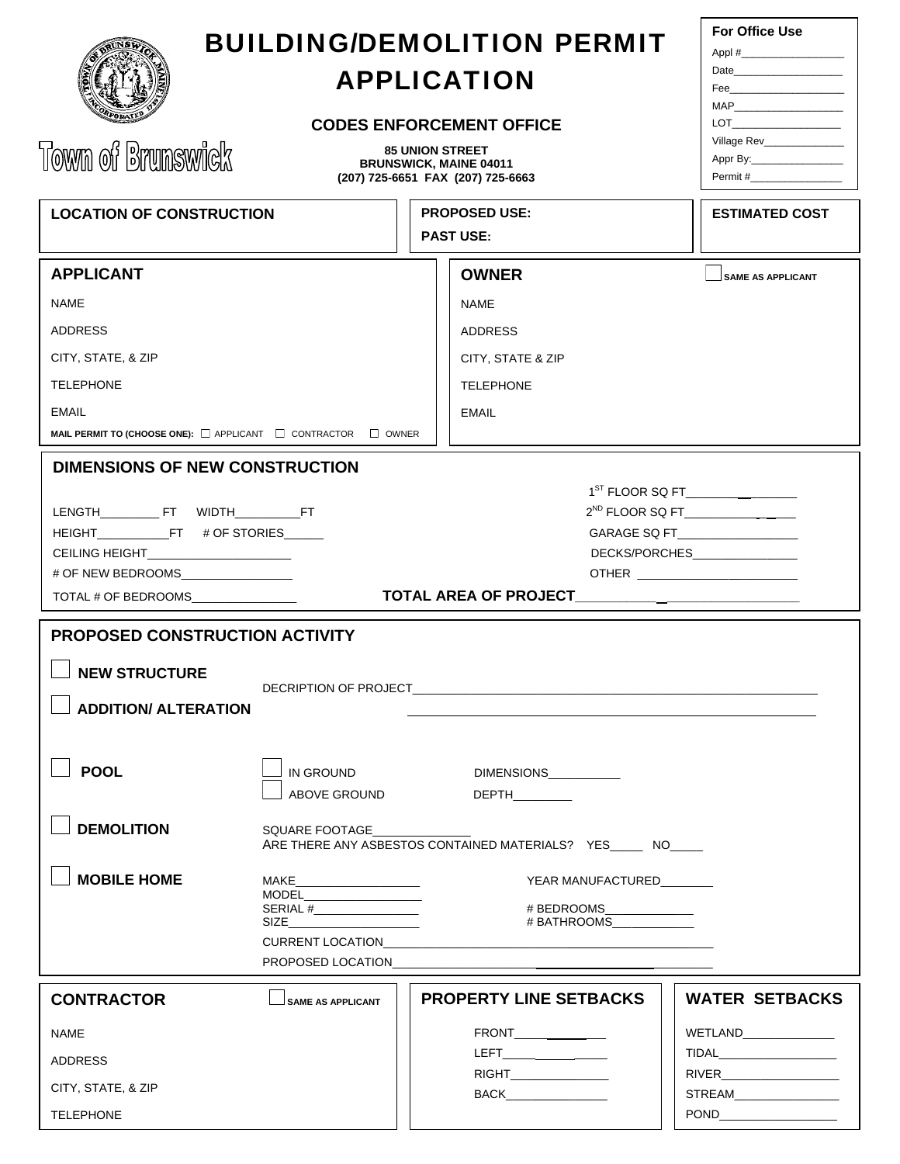| <b>BUILDING/DEMOLITION PERMIT</b>                                                                                                                                      | <b>For Office Use</b>                                                                                           |                        |                                                                                                                                                                                                                                                                                                                                                                     |                                                      |  |  |
|------------------------------------------------------------------------------------------------------------------------------------------------------------------------|-----------------------------------------------------------------------------------------------------------------|------------------------|---------------------------------------------------------------------------------------------------------------------------------------------------------------------------------------------------------------------------------------------------------------------------------------------------------------------------------------------------------------------|------------------------------------------------------|--|--|
|                                                                                                                                                                        |                                                                                                                 |                        | <b>APPLICATION</b>                                                                                                                                                                                                                                                                                                                                                  |                                                      |  |  |
|                                                                                                                                                                        |                                                                                                                 |                        | <b>CODES ENFORCEMENT OFFICE</b>                                                                                                                                                                                                                                                                                                                                     | Village Rev_______________                           |  |  |
| Town of Brunswick                                                                                                                                                      |                                                                                                                 | <b>85 UNION STREET</b> | <b>BRUNSWICK, MAINE 04011</b><br>(207) 725-6651 FAX (207) 725-6663                                                                                                                                                                                                                                                                                                  |                                                      |  |  |
| <b>LOCATION OF CONSTRUCTION</b>                                                                                                                                        |                                                                                                                 |                        | <b>PROPOSED USE:</b><br><b>PAST USE:</b>                                                                                                                                                                                                                                                                                                                            | <b>ESTIMATED COST</b>                                |  |  |
| <b>APPLICANT</b>                                                                                                                                                       |                                                                                                                 |                        | <b>OWNER</b>                                                                                                                                                                                                                                                                                                                                                        | <b>SAME AS APPLICANT</b>                             |  |  |
| <b>NAME</b>                                                                                                                                                            |                                                                                                                 |                        | <b>NAME</b>                                                                                                                                                                                                                                                                                                                                                         |                                                      |  |  |
| <b>ADDRESS</b>                                                                                                                                                         |                                                                                                                 |                        | <b>ADDRESS</b>                                                                                                                                                                                                                                                                                                                                                      |                                                      |  |  |
| CITY, STATE, & ZIP                                                                                                                                                     |                                                                                                                 |                        | CITY, STATE & ZIP                                                                                                                                                                                                                                                                                                                                                   |                                                      |  |  |
| <b>TELEPHONE</b>                                                                                                                                                       |                                                                                                                 |                        |                                                                                                                                                                                                                                                                                                                                                                     |                                                      |  |  |
| <b>EMAIL</b>                                                                                                                                                           |                                                                                                                 |                        |                                                                                                                                                                                                                                                                                                                                                                     | <b>TELEPHONE</b>                                     |  |  |
| MAIL PERMIT TO (CHOOSE ONE): C APPLICANT C CONTRACTOR C OWNER                                                                                                          |                                                                                                                 |                        | <b>EMAIL</b>                                                                                                                                                                                                                                                                                                                                                        |                                                      |  |  |
| <b>DIMENSIONS OF NEW CONSTRUCTION</b>                                                                                                                                  |                                                                                                                 |                        |                                                                                                                                                                                                                                                                                                                                                                     |                                                      |  |  |
|                                                                                                                                                                        |                                                                                                                 |                        |                                                                                                                                                                                                                                                                                                                                                                     |                                                      |  |  |
| LENGTH_________FT WIDTH___________FT                                                                                                                                   |                                                                                                                 |                        | $2^{ND}$ FLOOR SQ FT______________                                                                                                                                                                                                                                                                                                                                  |                                                      |  |  |
|                                                                                                                                                                        |                                                                                                                 |                        | GARAGE SQ FT__________________                                                                                                                                                                                                                                                                                                                                      |                                                      |  |  |
| CEILING HEIGHT________________________                                                                                                                                 |                                                                                                                 |                        | DECKS/PORCHES__________________                                                                                                                                                                                                                                                                                                                                     |                                                      |  |  |
| # OF NEW BEDROOMS________________                                                                                                                                      |                                                                                                                 |                        |                                                                                                                                                                                                                                                                                                                                                                     |                                                      |  |  |
| TOTAL # OF BEDROOMS                                                                                                                                                    |                                                                                                                 |                        |                                                                                                                                                                                                                                                                                                                                                                     |                                                      |  |  |
| PROPOSED CONSTRUCTION ACTIVITY                                                                                                                                         |                                                                                                                 |                        |                                                                                                                                                                                                                                                                                                                                                                     |                                                      |  |  |
|                                                                                                                                                                        |                                                                                                                 |                        |                                                                                                                                                                                                                                                                                                                                                                     |                                                      |  |  |
| <b>NEW STRUCTURE</b><br>DECRIPTION OF PROJECT<br><u> 1989 - Johann Harry Harry Harry Harry Harry Harry Harry Harry Harry Harry Harry Harry Harry Harry Harry Harry</u> |                                                                                                                 |                        |                                                                                                                                                                                                                                                                                                                                                                     |                                                      |  |  |
| <b>ADDITION/ ALTERATION</b>                                                                                                                                            |                                                                                                                 |                        |                                                                                                                                                                                                                                                                                                                                                                     |                                                      |  |  |
|                                                                                                                                                                        |                                                                                                                 |                        |                                                                                                                                                                                                                                                                                                                                                                     |                                                      |  |  |
| <b>POOL</b>                                                                                                                                                            | IN GROUND                                                                                                       |                        | DIMENSIONS__________                                                                                                                                                                                                                                                                                                                                                |                                                      |  |  |
|                                                                                                                                                                        | <b>ABOVE GROUND</b>                                                                                             |                        | <b>DEPTH</b>                                                                                                                                                                                                                                                                                                                                                        |                                                      |  |  |
|                                                                                                                                                                        |                                                                                                                 |                        |                                                                                                                                                                                                                                                                                                                                                                     |                                                      |  |  |
| <b>DEMOLITION</b>                                                                                                                                                      | SQUARE FOOTAGE                                                                                                  |                        | ARE THERE ANY ASBESTOS CONTAINED MATERIALS? YES _____ NO                                                                                                                                                                                                                                                                                                            |                                                      |  |  |
| <b>MOBILE HOME</b>                                                                                                                                                     |                                                                                                                 |                        |                                                                                                                                                                                                                                                                                                                                                                     |                                                      |  |  |
|                                                                                                                                                                        | MAKE_________________________<br>$\textsf{MODEL}\_ \_\_ \_\_ \_\_ \_\_ \_\_ \_\_ \_\_ \_\_ \_\_ \_ \_ \_ \_ \_$ |                        | YEAR MANUFACTURED                                                                                                                                                                                                                                                                                                                                                   |                                                      |  |  |
|                                                                                                                                                                        | SIZE_________________________                                                                                   |                        | # BEDROOMS____________<br># BATHROOMS__ <del>_______</del> ___                                                                                                                                                                                                                                                                                                      |                                                      |  |  |
|                                                                                                                                                                        |                                                                                                                 |                        |                                                                                                                                                                                                                                                                                                                                                                     |                                                      |  |  |
|                                                                                                                                                                        | PROPOSED LOCATION EXAMPLE THE STATE OF THE STATE OF THE STATE OF THE STATE OF THE STATE OF THE STATE OF THE ST  |                        |                                                                                                                                                                                                                                                                                                                                                                     |                                                      |  |  |
| <b>CONTRACTOR</b>                                                                                                                                                      | <b>SAME AS APPLICANT</b>                                                                                        |                        | <b>PROPERTY LINE SETBACKS</b>                                                                                                                                                                                                                                                                                                                                       | <b>WATER SETBACKS</b>                                |  |  |
| NAME                                                                                                                                                                   |                                                                                                                 |                        |                                                                                                                                                                                                                                                                                                                                                                     | WETLAND______________                                |  |  |
| <b>ADDRESS</b>                                                                                                                                                         |                                                                                                                 |                        | $\begin{picture}(20,10) \put(0,0){\vector(1,0){100}} \put(15,0){\vector(1,0){100}} \put(15,0){\vector(1,0){100}} \put(15,0){\vector(1,0){100}} \put(15,0){\vector(1,0){100}} \put(15,0){\vector(1,0){100}} \put(15,0){\vector(1,0){100}} \put(15,0){\vector(1,0){100}} \put(15,0){\vector(1,0){100}} \put(15,0){\vector(1,0){100}} \put(15,0){\vector(1,0){100}} \$ |                                                      |  |  |
| CITY, STATE, & ZIP                                                                                                                                                     |                                                                                                                 |                        | RIGHT____________                                                                                                                                                                                                                                                                                                                                                   |                                                      |  |  |
| <b>TELEPHONE</b>                                                                                                                                                       |                                                                                                                 |                        |                                                                                                                                                                                                                                                                                                                                                                     | STREAM__________________<br>POND <b>Example 2008</b> |  |  |
|                                                                                                                                                                        |                                                                                                                 |                        |                                                                                                                                                                                                                                                                                                                                                                     |                                                      |  |  |